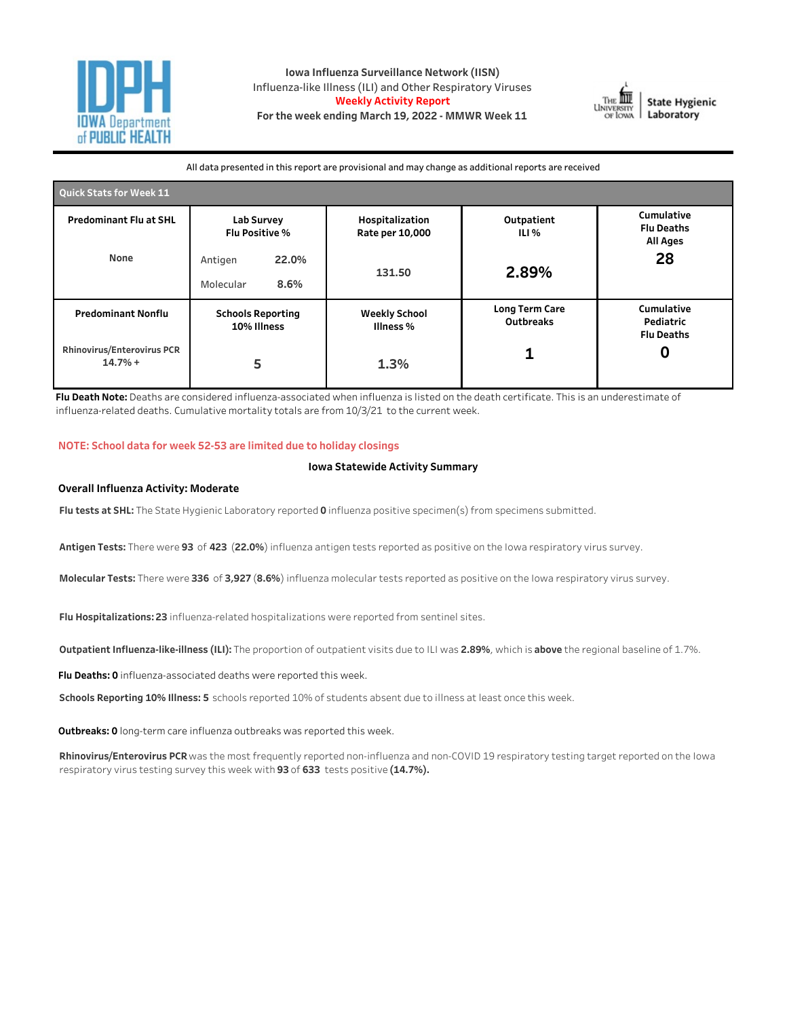

**Iowa Influenza Surveillance Network (IISN)** Influenza-like Illness (ILI) and Other Respiratory Viruses **Weekly Activity Report** For the week ending March 19, 2022 - MMWR Week 11



All data presented in this report are provisional and may change as additional reports are received

| Quick Stats for Week 11                        |                                         |                                    |                                    |                                                    |  |  |  |  |  |
|------------------------------------------------|-----------------------------------------|------------------------------------|------------------------------------|----------------------------------------------------|--|--|--|--|--|
| <b>Predominant Flu at SHL</b>                  | Lab Survey<br>Flu Positive %            | Hospitalization<br>Rate per 10,000 | Outpatient<br>ILI %                | Cumulative<br><b>Flu Deaths</b><br><b>All Ages</b> |  |  |  |  |  |
| None                                           | 22.0%<br>Antigen<br>8.6%<br>Molecular   | 131.50                             | 2.89%                              | 28                                                 |  |  |  |  |  |
| <b>Predominant Nonflu</b>                      | <b>Schools Reporting</b><br>10% Illness | <b>Weekly School</b><br>Illness %  | <b>Long Term Care</b><br>Outbreaks | Cumulative<br>Pediatric<br><b>Flu Deaths</b>       |  |  |  |  |  |
| <b>Rhinovirus/Enterovirus PCR</b><br>$14.7% +$ | 5                                       |                                    |                                    |                                                    |  |  |  |  |  |

Flu Death Note: Deaths are considered influenza-associated when influenza is listed on the death certificate. This is an underestimate of influenza-related deaths. Cumulative mortality totals are from 10/3/21 to the current week.

#### **NOTE:Schooldataforweek52-53arelimitedduetoholidayclosings**

### **Iowa Statewide Activity Summary**

#### **Overall Influenza Activity: Moderate**

Flu tests at SHL: The State Hygienic Laboratory reported 0 influenza positive specimen(s) from specimens submitted.

Antigen Tests: There were 93 of 423 (22.0%) influenza antigen tests reported as positive on the Iowa respiratory virus survey.

Molecular Tests: There were 336 of 3,927 (8.6%) influenza molecular tests reported as positive on the Iowa respiratory virus survey.

Flu Hospitalizations: 23 influenza-related hospitalizations were reported from sentinel sites.

**Outpatient Influenza-like-illness (ILI):** The proportion of outpatient visits due to ILI was 2.89%, which is above the regional baseline of 1.7%.

Flu Deaths: 0 influenza-associated deaths were reported this week.

Schools Reporting 10% Illness: 5 schools reported 10% of students absent due to illness at least once this week.

Outbreaks: 0 long-term care influenza outbreaks was reported this week.

Rhinovirus/Enterovirus PCR was the most frequently reported non-influenza and non-COVID 19 respiratory testing target reported on the Iowa respiratory virus testing survey this week with 93 of 633 tests positive (14.7%).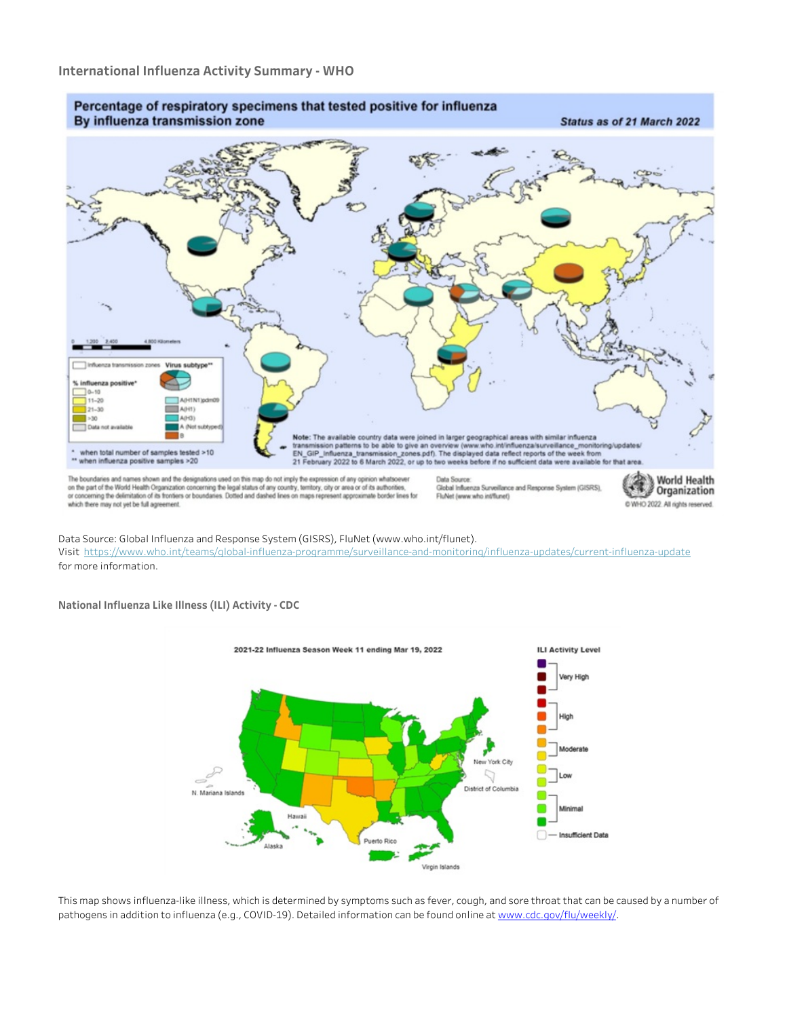

Data Source: Global Influenza and Response System (GISRS), FluNet (www.who.int/flunet). Visit https://www.who.int/teams/global-influenza-programme/surveillance-and-monitoring/influenza-updates/current-influenza-update for more information.

**NationalInfluenzaLikeIllness(ILI)Activity-CDC**



This map shows influenza-like illness, which is determined by symptoms such as fever, cough, and sore throat that can be caused by a number of pathogens in addition to influenza (e.g., COVID-19). Detailed information can be found online at www.cdc.gov/flu/weekly/.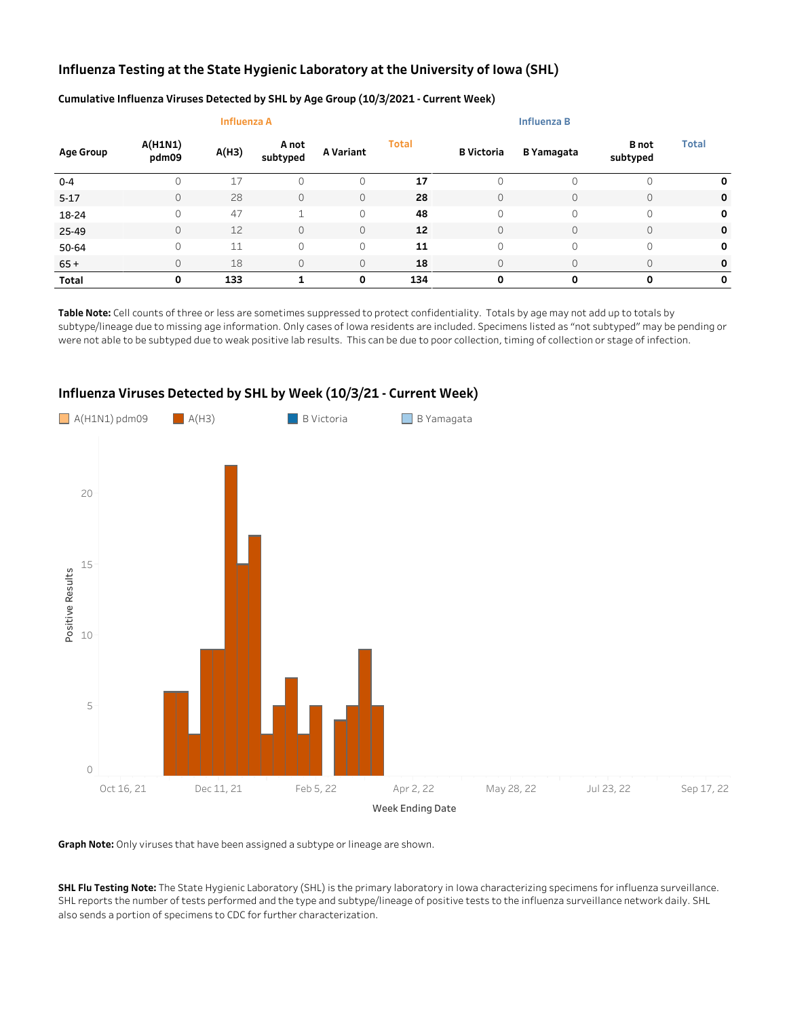# Influenza Testing at the State Hygienic Laboratory at the University of Iowa (SHL)

|                  |                         | <b>Influenza A</b> |                   |           |              |                   |                   |                          |              |
|------------------|-------------------------|--------------------|-------------------|-----------|--------------|-------------------|-------------------|--------------------------|--------------|
| <b>Age Group</b> | <b>A(H1N1)</b><br>pdm09 | A(H3)              | A not<br>subtyped | A Variant | <b>Total</b> | <b>B</b> Victoria | <b>B</b> Yamagata | <b>B</b> not<br>subtyped | <b>Total</b> |
| $0 - 4$          |                         | 17                 | 0                 | 0         | 17           |                   |                   |                          | 0            |
| $5 - 17$         | 0                       | 28                 | 0                 | $\circ$   | 28           |                   | 0                 | $\mathbf 0$              | 0            |
| 18-24            | 0                       | 47                 | $\overline{ }$    | $\circ$   | 48           | $\Omega$          | 0                 | 0                        | 0            |
| 25-49            | 0                       | 12                 | 0                 | $\circ$   | 12           |                   | $\Omega$          | $\mathbf 0$              | 0            |
| 50-64            | 0                       | 11                 | 0                 | $\circ$   | 11           | $\Omega$          | 0                 | 0                        | 0            |
| $65+$            | 0                       | 18                 | 0                 | $\circ$   | 18           |                   | $\Omega$          | $\mathbf 0$              | 0            |
| Total            | Ο                       | 133                |                   | 0         | 134          | 0                 | 0                 | $\Omega$                 | 0            |

### Cumulative Influenza Viruses Detected by SHL by Age Group (10/3/2021 - Current Week)

Table Note: Cell counts of three or less are sometimes suppressed to protect confidentiality. Totals by age may not add up to totals by subtype/lineage due to missing age information. Only cases of Iowa residents are included. Specimens listed as "not subtyped" may be pending or were not able to be subtyped due to weak positive lab results. This can be due to poor collection, timing of collection or stage of infection.



# Influenza Viruses Detected by SHL by Week (10/3/21 - Current Week)

Graph Note: Only viruses that have been assigned a subtype or lineage are shown.

SHL Flu Testing Note: The State Hygienic Laboratory (SHL) is the primary laboratory in Iowa characterizing specimens for influenza surveillance. SHL reports the number of tests performed and the type and subtype/lineage of positive tests to the influenza surveillance network daily. SHL also sends a portion of specimens to CDC for further characterization.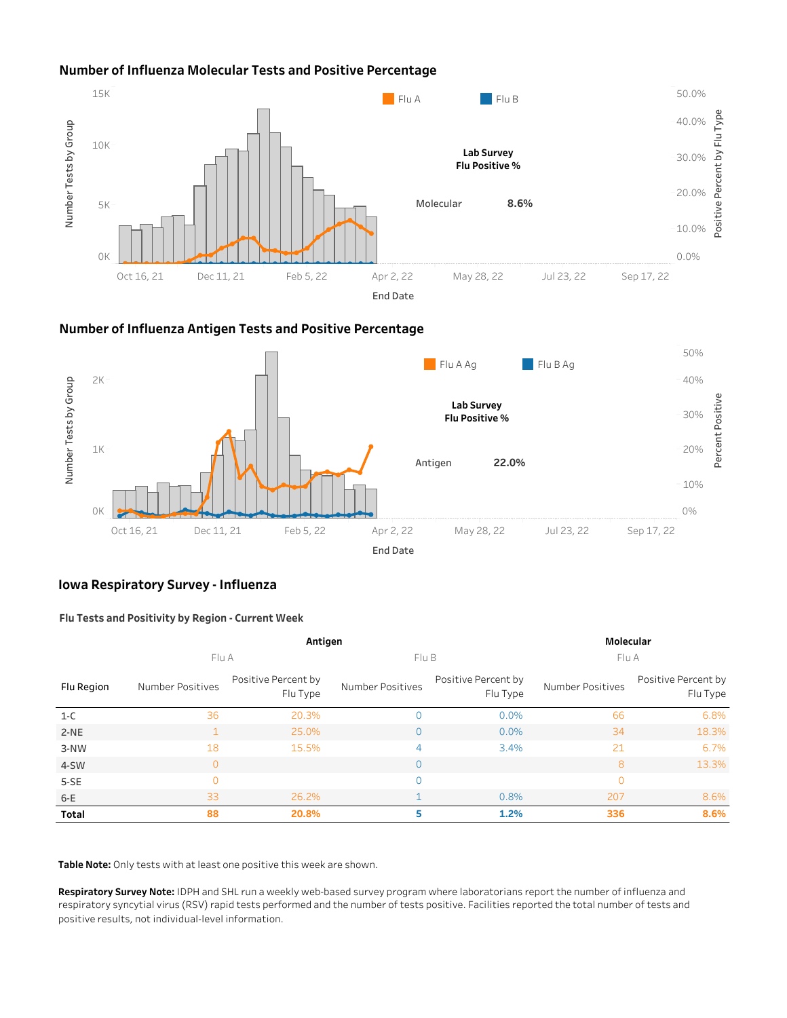# **Number of Influenza Molecular Tests and Positive Percentage**



## **NumberofInfluenzaAntigenTestsandPositivePercentage**



## **Iowa Respiratory Survey - Influenza**

### **FluTestsandPositivitybyRegion-CurrentWeek**

|            |                  | Molecular                       |                  |                                 |                  |                                 |  |  |
|------------|------------------|---------------------------------|------------------|---------------------------------|------------------|---------------------------------|--|--|
|            | Flu A            |                                 | Flu B            |                                 | Flu A            |                                 |  |  |
| Flu Region | Number Positives | Positive Percent by<br>Flu Type | Number Positives | Positive Percent by<br>Flu Type | Number Positives | Positive Percent by<br>Flu Type |  |  |
| $1-C$      | 36               | 20.3%                           | 0                | 0.0%                            | 66               | 6.8%                            |  |  |
| $2-NE$     |                  | 25.0%                           | 0                | 0.0%                            | 34               | 18.3%                           |  |  |
| 3-NW       | 18               | 15.5%                           | 4                | 3.4%                            | 21               | 6.7%                            |  |  |
| 4-SW       | $\Omega$         |                                 | 0                |                                 | 8                | 13.3%                           |  |  |
| 5-SE       | $\Omega$         |                                 | 0                |                                 | $\overline{0}$   |                                 |  |  |
| $6-E$      | 33               | 26.2%                           |                  | 0.8%                            | 207              | 8.6%                            |  |  |
| Total      | 88               | 20.8%                           | 5                | 1.2%                            | 336              | 8.6%                            |  |  |

Table Note: Only tests with at least one positive this week are shown.

Respiratory Survey Note: IDPH and SHL run a weekly web-based survey program where laboratorians report the number of influenza and respiratory syncytial virus (RSV) rapid tests performed and the number of tests positive. Facilities reported the total number of tests and positive results, not individual-level information.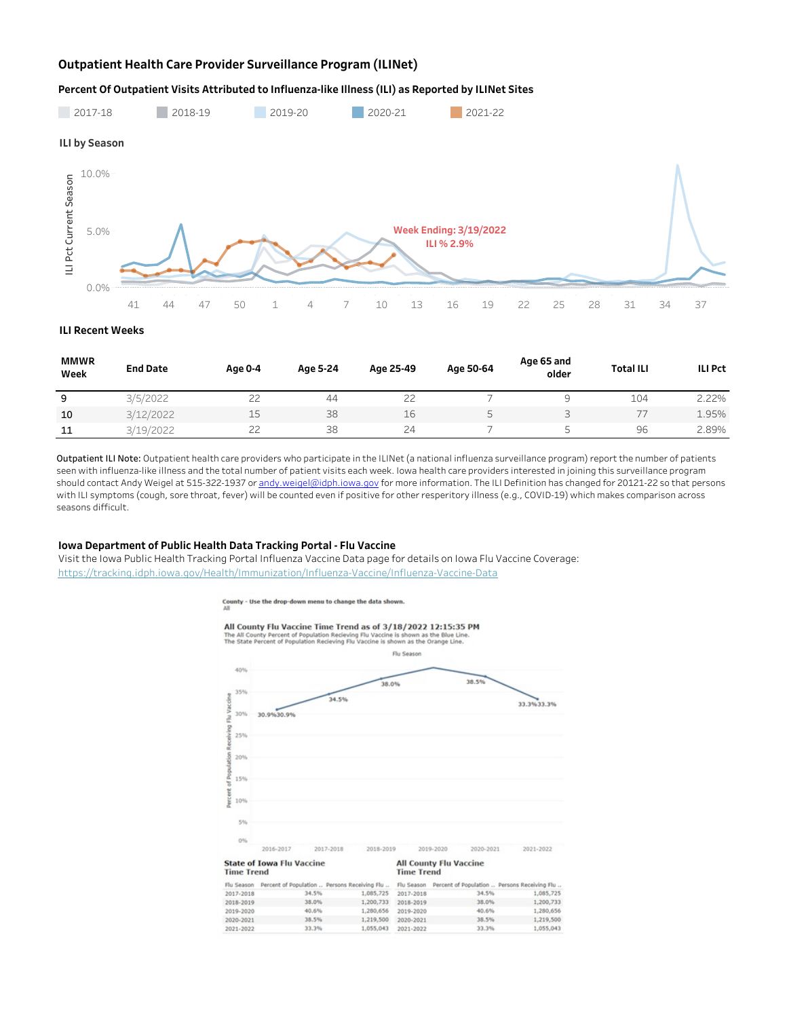## **Outpatient Health Care Provider Surveillance Program (ILINet)**

#### Percent Of Outpatient Visits Attributed to Influenza-like Illness (ILI) as Reported by ILINet Sites



**ILIRecentWeeks**

| <b>MMWR</b><br>Week | <b>End Date</b> | Age 0-4 | Age 5-24 | Age 25-49     | Age 50-64 | Age 65 and<br>older | <b>Total ILI</b> | <b>ILI Pct</b> |
|---------------------|-----------------|---------|----------|---------------|-----------|---------------------|------------------|----------------|
| 9                   | 3/5/2022        | $\sim$  | 44       | $\sim$<br>ے ے |           |                     | 104              | 2.22%          |
| 10                  | 3/12/2022       | 15      | 38       | 16            |           |                     |                  | 1.95%          |
| 11                  | 3/19/2022       | $\sim$  | 38       | 24            |           |                     | 96               | 2.89%          |

Outpatient ILI Note: Outpatient health care providers who participate in the ILINet (a national influenza surveillance program) report the number of patients seen with influenza-like illness and the total number of patient visits each week. Iowa health care providers interested in joining this surveillance program should contact Andy Weigel at 515-322-1937 or andy.weigel@idph.iowa.gov for more information. The ILI Definition has changed for 20121-22 so that persons with ILI symptoms (cough, sore throat, fever) will be counted even if positive for other resperitory illness (e.g., COVID-19) which makes comparison across seasons difficult.

#### **Iowa Department of Public Health Data Tracking Portal - Flu Vaccine**

Visit the Iowa Public Health Tracking Portal Influenza Vaccine Data page for details on Iowa Flu Vaccine Coverage: https://tracking.idph.iowa.gov/Health/Immunization/Influenza-Vaccine/Influenza-Vaccine-Data



County - Use the drop-down menu to change the data shown.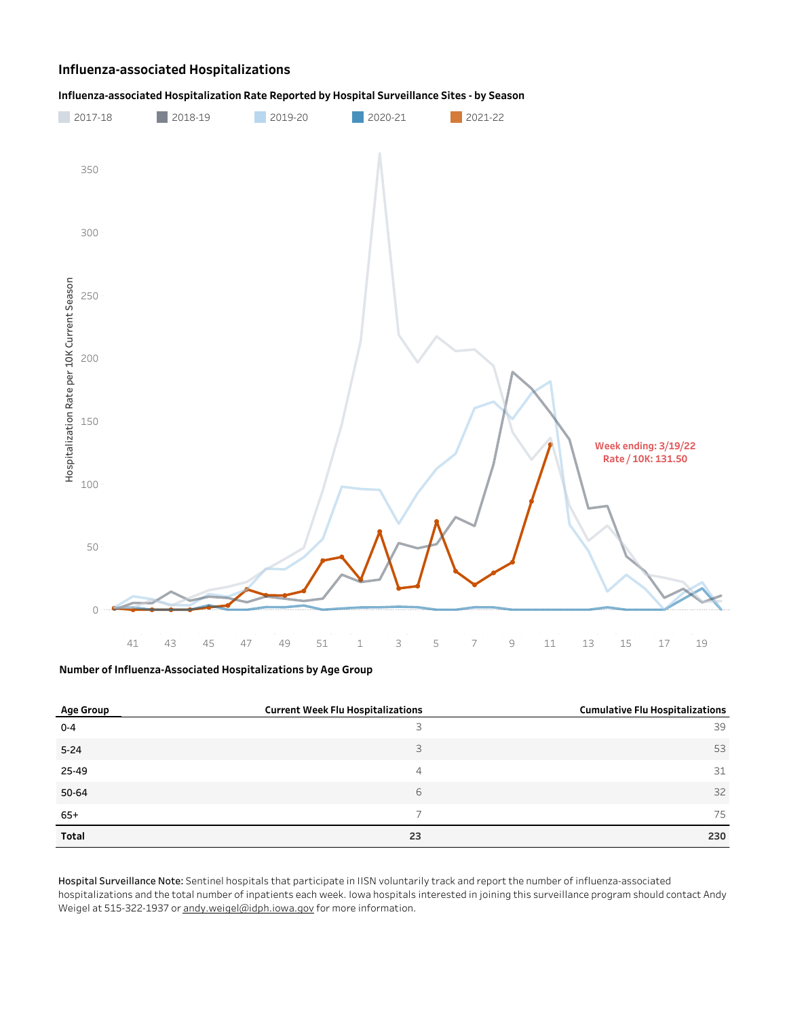## **Influenza-associatedHospitalizations**



### Influenza-associated Hospitalization Rate Reported by Hospital Surveillance Sites - by Season

**NumberofInfluenza-AssociatedHospitalizationsbyAgeGroup**

| Age Group | <b>Current Week Flu Hospitalizations</b> | <b>Cumulative Flu Hospitalizations</b> |
|-----------|------------------------------------------|----------------------------------------|
| $0 - 4$   | 3                                        | 39                                     |
| $5 - 24$  | 3                                        | 53                                     |
| 25-49     | 4                                        | 31                                     |
| 50-64     | 6                                        | 32                                     |
| $65+$     |                                          | 75                                     |
| Total     | 23                                       | 230                                    |

Hospital Surveillance Note: Sentinel hospitals that participate in IISN voluntarily track and report the number of influenza-associated hospitalizations and the total number of inpatients each week. Iowa hospitals interested in joining this surveillance program should contact Andy Weigel at 515-322-1937 or andy.weigel@idph.iowa.gov for more information.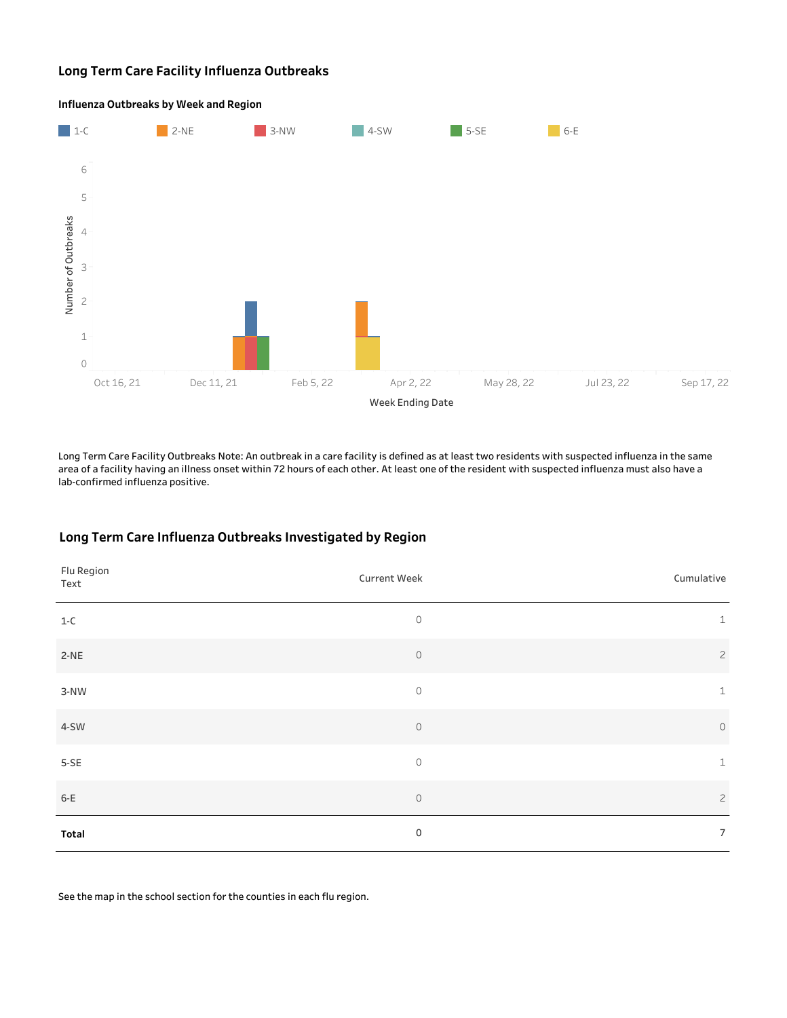## **Long Term Care Facility Influenza Outbreaks**



**Influenza Outbreaks by Week and Region** 

Long Term Care Facility Outbreaks Note: An outbreak in a care facility is defined as at least two residents with suspected influenza in the same area of a facility having an illness onset within 72 hours of each other. At least one of the resident with suspected influenza must also have a lab-confirmed influenza positive.

## Long Term Care Influenza Outbreaks Investigated by Region

| Flu Region<br>Text | Current Week | Cumulative     |
|--------------------|--------------|----------------|
| $1-C$              | $\circ$      | $\mathbf{1}$   |
| $2-NE$             | $\mathbb O$  | $\overline{c}$ |
| $3-NW$             | $\circ$      | $\mathbf{1}$   |
| 4-SW               | $\circ$      | $\circ$        |
| $5-SE$             | $\circ$      | $\mathbf{1}$   |
| $6-E$              | $\circ$      | $\overline{c}$ |
| Total              | $\mathbf 0$  | $\overline{7}$ |

See the map in the school section for the counties in each flu region.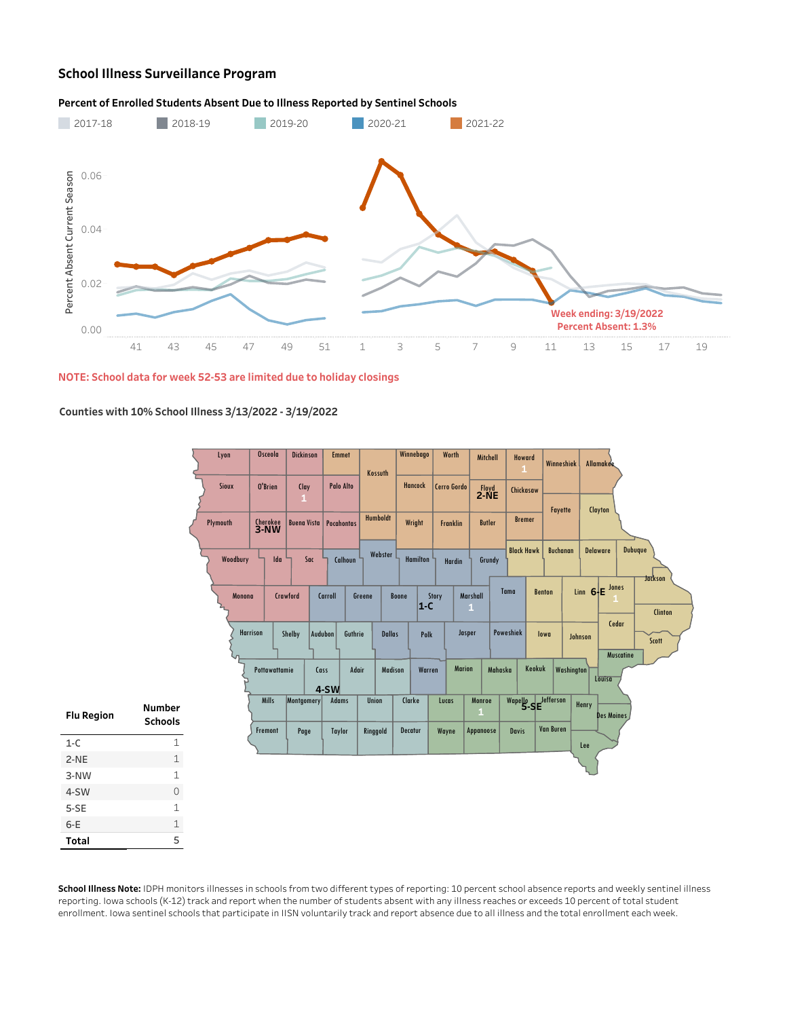# **School Illness Surveillance Program**

### Percent of Enrolled Students Absent Due to Illness Reported by Sentinel Schools



**NOTE:Schooldataforweek52-53arelimitedduetoholidayclosings**

### **Countieswith10%SchoolIllness3/13/2022-3/19/2022**

|                   |                            |          | Lyon            | <b>Osceola</b>   | <b>Dickinson</b>     | <b>Emmet</b>                  | Kossuth       | Winnebago      |                 | Worth           | Mitchell               | Howard<br>$\mathbf{1}$ |               | Winneshiek        |                        | Allamakee          |                                  |
|-------------------|----------------------------|----------|-----------------|------------------|----------------------|-------------------------------|---------------|----------------|-----------------|-----------------|------------------------|------------------------|---------------|-------------------|------------------------|--------------------|----------------------------------|
|                   |                            |          | Sioux           | O'Brien          | Clay<br>$\mathbf{1}$ | Palo Alto                     |               | <b>Hancock</b> |                 | Cerro Gordo     | $2-NE$                 | Chickasaw              |               |                   |                        |                    |                                  |
|                   |                            | Plymouth |                 | Cherokee<br>3-NW |                      | <b>Buena Vista Pocahontas</b> | Humboldt      | Wright         |                 | <b>Franklin</b> | <b>Butler</b>          | <b>Bremer</b>          |               | Fayette           |                        | Clayton            |                                  |
|                   |                            |          | Woodbury        | Ida              | Sac                  | Calhoun                       | Webster       |                | <b>Hamilton</b> | Hardin          | Grundy                 | <b>Black Hawk</b>      |               | <b>Buchanan</b>   |                        | <b>Delaware</b>    | Dubuque                          |
|                   |                            |          | Monona          |                  | Crawford             | Carroll                       | Greene        | Boone          | Story<br>$ 1-C$ |                 | Marshall<br>1          | Tama                   | <b>Benton</b> |                   | Linn $6 \rightarrow E$ | Jones              | <b>Jackson</b><br><b>Clinton</b> |
|                   |                            |          | <b>Harrison</b> |                  | Shelby               | Audubon<br>Guthrie            | <b>Dallas</b> |                | Polk            | Jasper          |                        | Poweshiek              | lowa          |                   | Johnson                | Cedar<br>Muscatine | Scott                            |
|                   |                            |          |                 | Pottawattamie    |                      | Cass<br>$4-SW$                | Adair         | Madison        | Warren          | <b>Marion</b>   |                        | Mahaska                | Keokuk        | <b>Washington</b> |                        | Louisa             |                                  |
| <b>Flu Region</b> | Number<br><b>Schools</b>   |          |                 | <b>Mills</b>     | Montgomery           | <b>Adams</b>                  | Union         | Clarke         |                 | Lucas           | Monroe<br>$\mathbf{1}$ | Wapello Jefferson      |               |                   | Henry                  | Des Moines         |                                  |
| $1 - C$           | $\mathbf 1$                |          |                 | Fremont          | Page                 | <b>Taylor</b>                 | Ringgold      | Decatur        |                 | Wayne           | Appanoose              | <b>Davis</b>           |               | <b>Van Buren</b>  | Lee                    |                    |                                  |
| $2-NE$            | $\ensuremath{\mathbbm{1}}$ |          |                 |                  |                      |                               |               |                |                 |                 |                        |                        |               |                   |                        |                    |                                  |
| 3-NW              | 1                          |          |                 |                  |                      |                               |               |                |                 |                 |                        |                        |               |                   |                        |                    |                                  |
| 4-SW              | $\circ$                    |          |                 |                  |                      |                               |               |                |                 |                 |                        |                        |               |                   |                        |                    |                                  |
| $5-SE$            | $\mathbf 1$                |          |                 |                  |                      |                               |               |                |                 |                 |                        |                        |               |                   |                        |                    |                                  |
| $6-E$             | $\mathbf 1$                |          |                 |                  |                      |                               |               |                |                 |                 |                        |                        |               |                   |                        |                    |                                  |
| Total             | 5                          |          |                 |                  |                      |                               |               |                |                 |                 |                        |                        |               |                   |                        |                    |                                  |

School Illness Note: IDPH monitors illnesses in schools from two different types of reporting: 10 percent school absence reports and weekly sentinel illness reporting. Iowa schools (K-12) track and report when the number of students absent with any illness reaches or exceeds 10 percent of total student enrollment. Iowa sentinel schools that participate in IISN voluntarily track and report absence due to all illness and the total enrollment each week.